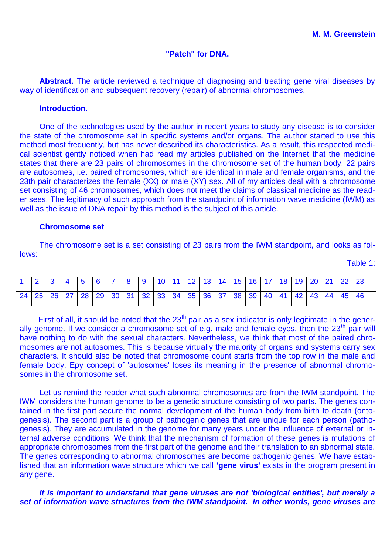# **"Patch" for DNA.**

**Abstract.** The article reviewed a technique of diagnosing and treating gene viral diseases by way of identification and subsequent recovery (repair) of abnormal chromosomes.

# **Introduction.**

One of the technologies used by the author in recent years to study any disease is to consider the state of the chromosome set in specific systems and/or organs. The author started to use this method most frequently, but has never described its characteristics. As a result, this respected medical scientist gently noticed when had read my articles published on the Internet that the medicine states that there are 23 pairs of chromosomes in the chromosome set of the human body. 22 pairs are autosomes, i.e. paired chromosomes, which are identical in male and female organisms, and the 23th pair characterizes the female (XX) or male (XY) sex. All of my articles deal with a chromosome set consisting of 46 chromosomes, which does not meet the claims of classical medicine as the reader sees. The legitimacy of such approach from the standpoint of information wave medicine (IWM) as well as the issue of DNA repair by this method is the subject of this article.

### **Chromosome set**

The chromosome set is a set consisting of 23 pairs from the IWM standpoint, and looks as follows: Table 1:

| 1   2   3   4   5   6   7   8   9   10   11   12   13   14   15   16   17   18   19   20   21   22   23          |  |  |  |  |  |  |  |  |  |  |  |
|------------------------------------------------------------------------------------------------------------------|--|--|--|--|--|--|--|--|--|--|--|
| 24   25   26   27   28   29   30   31   32   33   34   35   36   37   38   39   40   41   42   43   44   45   46 |  |  |  |  |  |  |  |  |  |  |  |

First of all, it should be noted that the  $23<sup>th</sup>$  pair as a sex indicator is only legitimate in the generally genome. If we consider a chromosome set of e.g. male and female eyes, then the  $23<sup>th</sup>$  pair will have nothing to do with the sexual characters. Nevertheless, we think that most of the paired chromosomes are not autosomes. This is because virtually the majority of organs and systems carry sex characters. It should also be noted that chromosome count starts from the top row in the male and female body. Epy concept of 'autosomes' loses its meaning in the presence of abnormal chromosomes in the chromosome set.

Let us remind the reader what such abnormal chromosomes are from the IWM standpoint. The IWM considers the human genome to be a genetic structure consisting of two parts. The genes contained in the first part secure the normal development of the human body from birth to death (ontogenesis). The second part is a group of pathogenic genes that are unique for each person (pathogenesis). They are accumulated in the genome for many years under the influence of external or internal adverse conditions. We think that the mechanism of formation of these genes is mutations of appropriate chromosomes from the first part of the genome and their translation to an abnormal state. The genes corresponding to abnormal chromosomes are become pathogenic genes. We have established that an information wave structure which we call **'gene virus'** exists in the program present in any gene.

*It is important to understand that gene viruses are not 'biological entities', but merely a set of information wave structures from the IWM standpoint. In other words, gene viruses are*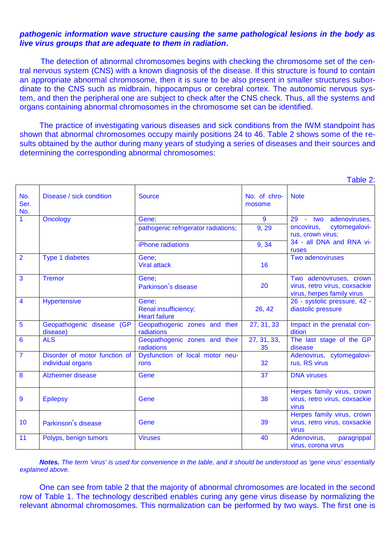## *pathogenic information wave structure causing the same pathological lesions in the body as live virus groups that are adequate to them in radiation***.**

The detection of abnormal chromosomes begins with checking the chromosome set of the central nervous system (CNS) with a known diagnosis of the disease. If this structure is found to contain an appropriate abnormal chromosome, then it is sure to be also present in smaller structures subordinate to the CNS such as midbrain, hippocampus or cerebral cortex. The autonomic nervous system, and then the peripheral one are subject to check after the CNS check. Thus, all the systems and organs containing abnormal chromosomes in the chromosome set can be identified.

The practice of investigating various diseases and sick conditions from the IWM standpoint has shown that abnormal chromosomes occupy mainly positions 24 to 46. Table 2 shows some of the results obtained by the author during many years of studying a series of diseases and their sources and determining the corresponding abnormal chromosomes:

 $T$ able  $2$ :

|                         |                                                    |                                             |                                 | <b>I QUIC Z.</b>                                                     |  |  |  |  |
|-------------------------|----------------------------------------------------|---------------------------------------------|---------------------------------|----------------------------------------------------------------------|--|--|--|--|
| No.<br>Ser.<br>No.      | Disease / sick condition                           | <b>Source</b>                               | No. of chro-<br>mosome          | <b>Note</b>                                                          |  |  |  |  |
| 1                       | <b>Oncology</b>                                    | Gene;                                       | $\overline{9}$                  | - two adenoviruses,<br>29                                            |  |  |  |  |
|                         |                                                    | pathogenic refrigerator radiations;         | 9, 29                           | oncovirus,<br>cytomegalovi-<br>rus, crown virus;                     |  |  |  |  |
|                         |                                                    | iPhone radiations                           | 9, 34                           | 34 - all DNA and RNA vi-<br>ruses                                    |  |  |  |  |
| $\overline{\mathbf{2}}$ | <b>Type 1 diabetes</b>                             | Gene;<br><b>Viral attack</b>                | 16                              | Two adenoviruses                                                     |  |  |  |  |
| $\overline{3}$          | <b>Tremor</b>                                      | Gene;                                       |                                 | Two adenoviruses, crown                                              |  |  |  |  |
|                         |                                                    | Parkinson's disease                         | 20                              | virus, retro virus, coxsackie<br>virus, herpes family virus          |  |  |  |  |
| $\overline{4}$          | <b>Hypertensive</b>                                | Gene;<br>Renal insufficiency;               | 26, 42                          | 26 - systolic pressure, 42 -<br>diastolic pressure                   |  |  |  |  |
|                         |                                                    | <b>Heart failure</b>                        |                                 |                                                                      |  |  |  |  |
| $5\overline{5}$         | Geopathogenic disease (GP<br>disease)              | Geopathogenic zones and their<br>radiations | 27, 31, 33                      | Impact in the prenatal con-<br>dition                                |  |  |  |  |
| $\overline{6}$          | <b>ALS</b>                                         | Geopathogenic zones and their<br>radiations | $\overline{27}$ , 31, 33,<br>35 | The last stage of the GP<br>disease                                  |  |  |  |  |
| $\overline{7}$          | Disorder of motor function of<br>individual organs | Dysfunction of local motor neu-<br>rons     | 32                              | Adenovirus, cytomegalovi-<br>rus, RS virus                           |  |  |  |  |
| $\overline{\mathbf{8}}$ | Alzheimer disease                                  | Gene                                        | 37                              | <b>DNA</b> viruses                                                   |  |  |  |  |
| 9                       | <b>Epilepsy</b>                                    | Gene                                        | 38                              | Herpes family virus, crown<br>virus, retro virus, coxsackie<br>virus |  |  |  |  |
| 10                      | Parkinson's disease                                | Gene                                        | 39                              | Herpes family virus, crown<br>virus, retro virus, coxsackie<br>virus |  |  |  |  |
| 11                      | Polyps, benign tumors                              | <b>Viruses</b>                              | 40                              | Adenovirus,<br>paragrippal<br>virus, corona virus                    |  |  |  |  |

*Notes. The term 'virus' is used for convenience in the table, and it should be understood as 'gene virus' essentially explained above.*

One can see from table 2 that the majority of abnormal chromosomes are located in the second row of Table 1. The technology described enables curing any gene virus disease by normalizing the relevant abnormal chromosomes. This normalization can be performed by two ways. The first one is